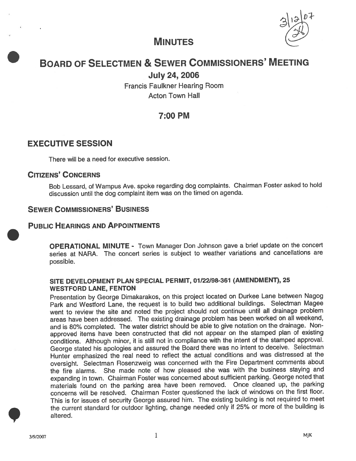

# MINUTES

# BOARD OF SELECTMEN & SEWER COMMISSIONERS' MEETING

# July 24, 2006

Francis Faulkner Hearing Room Acton Town Hall

# 7:00 PM

## EXECUTIVE SESSION

There will be <sup>a</sup> need for executive session.

### CITIZENS' CONCERNS

Bob Lessard, of Wampus Ave. spoke regarding dog complaints. Chairman Foster asked to hold discussion until the dog complaint item was on the timed on agenda.

## SEWER COMMISSIONERS' BUSINESS

### PUBLIC HEARINGS AND APPOINTMENTS

OPERATIONAL MINUTE - Town Manager Don Johnson gave <sup>a</sup> brief update on the concert series at NARA. The concert series is subject to weather variations and cancellations are possible.

#### SITE DEVELOPMENT PLAN SPECIAL PERMIT, 01/22/98-361 (AMENDMENT), 25 WESTFORD LANE, FENTON

Presentation by George Dimakarakos, on this project located on Durkee Lane between Nagog Park and Wesiford Lane, the reques<sup>t</sup> is to build two additional buildings. Selectman Magee went to review the site and noted the project should not continue until all drainage problem areas have been addressed. The existing drainage problem has been worked on all weekend, and is 80% completed. The water district should be able to <sup>g</sup>ive notation on the drainage. Nonapprove<sup>d</sup> items have been constructed that did not appear on the stamped <sup>p</sup>lan of existing conditions. Although minor, it is still not in compliance with the intent of the stamped approval. George stated his apologies and assured the Board there was no intent to deceive. Selectman Hunter emphasized the real need to reflect the actual conditions and was distressed at the oversight. Selectman Rosenzweig was concerned with the Fire Department comments about the fire alarms. She made note of how pleased she was with the business staying and expanding in town. Chairman Foster was concerned about sufficient parking. George noted that materials found on the parking area have been removed. Once cleaned up, the parking concerns will be resolved. Chairman Foster questioned the lack of windows on the first floor. This is for issues of security George assured him. The existing building is not required to meet the current standard for outdoor lighting, change needed only if 25% or more of the building is altered.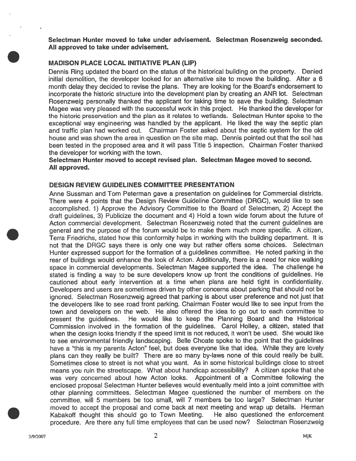Selectman Hunter moved to take under advisement. Selectman Rosenzweig seconded. All approved to take under advisement.

#### MADISON PLACE LOCAL INITIATIVE PLAN (LIP)

Dennis Ring updated the board on the status of the historical building on the property. Denied initial demolition, the developer looked for an alternative site to move the building. After a 6 month delay they decided to revise the plans. They are looking for the Board's endorsement to incorporate the historic structure into the development plan by creating an ANR lot. Selectman Rosenzweig personally thanked the applicant for taking time to save the building. Selectman Magee was very pleased with the successful work in this project. He thanked the developer for the historic preservation and the plan as it relates to wetlands. Selectman Hunter spoke to the exceptional way engineering was handled by the applicant. He liked the way the septic plan and traffic plan had worked out. Chairman Foster asked about the septic system for the old house and was shown the area in question on the site map. Dennis pointed out that the soil has been tested in the proposed area and it will pass Title 5 inspection. Chairman Foster thanked the developer for working with the town.

#### Selectman Hunter moved to accep<sup>t</sup> revised plan. Selectman Magee moved to second. All approved.

#### DESIGN REVIEW GUIDELINES COMMITTEE PRESENTATION

Anne Sussman and Tom Peterman gave <sup>a</sup> presentation on guidelines for Commercial districts. There were 4 points that the Design Review Guideline Committee (DRGC), would like to see accomplished. 1) Approve the Advisory Committee to the Board of Selectmen, 2) Accept the draft guidelines, 3) Publicize the document and 4) Hold <sup>a</sup> town wide forum about the future of Acton commercial development. Selectman Rosenzweig noted that the current guidelines are general and the purpose of the forum would be to make them much more specific. A citizen, Terra Friedrichs, stated how this conformity helps in working with the building department. It is not that the DRGC says there is only one way but rather offers some choices. Selectman Hunter expressed suppor<sup>t</sup> for the formation of <sup>a</sup> guidelines committee. He noted parking in the rear of buildings would enhance the look of Acton. Additionally, there is <sup>a</sup> need for nice walking space in commercial developments. Selectman Magee supported the idea. The challenge he stated is finding <sup>a</sup> way to be sure developers know up front the conditions of guidelines. He cautioned about early intervention at <sup>a</sup> time when plans are held tight in confidentiality. Developers and users are sometimes driven by other concerns about parking that should not be ignored. Selectman Rosenzweig agreed that parking is about user preference and not just that the developers like to see road front parking. Chairman Foster would like to see input from the town and developers on the web. He also offered the idea to go out to each committee to presen<sup>t</sup> the guidelines. He would like to keep the Planning Board and the Historical Commission involved in the formation of the guidelines. Carol Holley, <sup>a</sup> citizen, stated that when the design looks friendly if the speed limit is not reduced, it won't be used. She would like to see environmental friendly landscaping. Belle Choate spoke to the point that the guidelines have <sup>a</sup> "this is my parents Acton" feel, but does everyone like that idea. While they are lovely <sup>p</sup>lans can they really be built? There are so many by-laws none of this could really be built. Sometimes close to street is not what you want. As in some historical buildings close to street means you ruin the streetscape. What about handicap accessibility? A citizen spoke that she was very concerned about how Acton looks. Appointment of <sup>a</sup> Committee following the enclosed proposal Selectman Hunter believes would eventually meld into <sup>a</sup> joint committee with other <sup>p</sup>lanning committees. Selectman Magee questioned the number of members on the committee, will 5 members be too small, will 7 members be too large? Selectman Hunter moved to accept the proposal and come back at next meeting and wrap up details. Herman<br>Kabakoff thought this should go to Town Meeting. He also guestioned the enforcement Kabakoff thought this should go to Town Meeting. procedure. Are there any full time employees that can be used now? Selectman Rosenzweig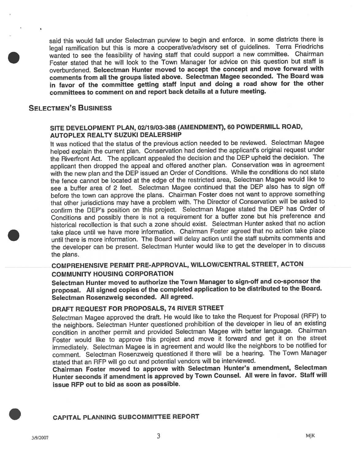said this would fall under Selectman purview to begin and enforce. In some districts there is legal ramification but this is more <sup>a</sup> cooperative/advisory set of guidelines. Terra Friedrichs wanted to see the feasibility of having staff that could suppor<sup>t</sup> <sup>a</sup> new committee. Chairman Foster stated that he will look to the Town Manager for advice on this question but staff is overburdened. Selcectman Hunter moved to accep<sup>t</sup> the concep<sup>t</sup> and move forward with comments from all the groups listed above. Selectman Magee seconded. The Board was in favor of the committee getting staff input and doing <sup>a</sup> road show for the other committees to comment on and repor<sup>t</sup> back details at <sup>a</sup> future meeting.

#### SELECTMEN'S BUSINESS

#### SITE DEVELOPMENT PLAN, 02/79/03-388 (AMENDMENT), 60 POWDERMILL ROAD, AUTOPLEX REALTY SUZUKI DEALERSHIP

It was noticed that the status of the previous action needed to be reviewed. Selectman Magee helped explain the current <sup>p</sup>lan. Conservation had denied the applicant's original reques<sup>t</sup> under the Riverfront Act. The applicant appealed the decision and the DEP upheld the decision. The applicant then dropped the appea<sup>l</sup> and offered another <sup>p</sup>lan. Conservation was in agreemen<sup>t</sup> with the new <sup>p</sup>lan and the DEP issued an Order of Conditions. While the conditions do not state the fence cannot be located at the edge of the restricted area, Selectman Magee would like to see <sup>a</sup> buffer area of <sup>2</sup> feet. Selectman Magee continued that the DEP also has to sign off before the town can approve the <sup>p</sup>lans. Chairman Foster does not want to approve something that other jurisdictions may have <sup>a</sup> problem with. The Director of Conservation will be asked to confirm the DEP's position on this project. Selectman Magee stated the DEP has Order of Conditions and possibly there is not <sup>a</sup> requirement for <sup>a</sup> buffer zone but his preference and historical recollection is that such <sup>a</sup> zone should exist. Selectman Hunter asked that no action take <sup>p</sup>lace until we have more information. Chairman Foster agree<sup>d</sup> that no action take <sup>p</sup>lace until there is more information. The Board will delay action until the staff submits comments and the developer can be present. Selectman Hunter would like to ge<sup>t</sup> the developer in to discuss the plans.

## COMPREHENSIVE PERMIT PRE-APPROVAL, WILLOW/CENTRAL STREET, ACTON COMMUNITY HOUSING CORPORATION

Selectman Hunter moved to authorize the Town Manager to sign-off and co-sponsor the proposal. All signed copies of the completed application to be distributed to the Board. Selectman Rosenzweig seconded. All agreed.

#### DRAFT REQUEST FOR PROPOSALS, <sup>74</sup> RIVER STREET

Selectman Magee approve<sup>d</sup> the draft. He would like to take the Request for Proposal (RFP) to the neighbors. Selectman Hunter questioned prohibition of the developer in lieu of an existing condition in another permit and provided Selectman Magee with better language. Chairman Foster would like to approve this project and move it forward and ge<sup>t</sup> it on the street immediately. Selectman Magee is in agreemen<sup>t</sup> and would like the neighbors to be notified for comment. Selectman Rosenzweig questioned if there will be <sup>a</sup> hearing. The Town Manager stated that an REP will go out and potential vendors will be interviewed.

Chairman Foster moved to approve with Selectman Hunter's amendment, Selectman Hunter seconds if amendment is approve<sup>d</sup> by Town Counsel. All were in favor. Staff will issue RFP out to bid as soon as possible.

#### CAPITAL PLANNING SUBCOMMITTEE REPORT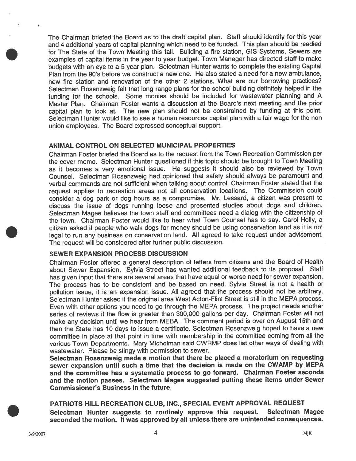The Chairman briefed the Board as to the draft capital <sup>p</sup>lan. Staff should identify for this year and <sup>4</sup> additional years of capital <sup>p</sup>lanning which need to be funded. This <sup>p</sup>lan should be readied for The State of the Town Meeting this fall. Building <sup>a</sup> fire station, GIS Systems, Sewers are examples of capital items in the year to year budget. Town Manager has directed staff to make budgets with an eye to <sup>a</sup> <sup>5</sup> year <sup>p</sup>lan. Selectman Hunter wants to complete the existing Capital Plan from the 90's before we construct <sup>a</sup> new one. He also stated <sup>a</sup> need for <sup>a</sup> new ambulance, new fire station and renovation of the other 2 stations. What are our borrowing practices? Selectman Rosenzweig felt that long range <sup>p</sup>lans for the school building definitely helped in the funding for the schools. Some monies should be included for wastewater <sup>p</sup>lanning and <sup>A</sup> Master Plan. Chairman Foster wants <sup>a</sup> discussion at the Board's next meeting and the prior capital <sup>p</sup>lan to look at. The new <sup>p</sup>lan should not be constrained by funding at this point. Selectman Hunter would like to see <sup>a</sup> human resources capital plan with <sup>a</sup> fair wage for the non union employees. The Board expressed conceptual support.

#### ANIMAL CONTROL ON SELECTED MUNICIPAL PROPERTIES

Chairman Foster briefed the Board as to the reques<sup>t</sup> from the Town Recreation Commission per the cover memo. Selectman Hunter questioned it this topic should be brought to Town Meeting as it becomes <sup>a</sup> very emotional issue. He suggests it should also be reviewed by Town Counsel. Selectman Rosenzweig had opinioned that safety should always be paramoun<sup>t</sup> and verbal commands are not sufficient when talking about control. Chairman Foster stated that the reques<sup>t</sup> applies to recreation areas not all conservation locations. The Commission could consider <sup>a</sup> dog par<sup>k</sup> or dog hours as <sup>a</sup> compromise. Mr. Lessard, <sup>a</sup> citizen was presen<sup>t</sup> to discuss the issue of dogs running loose and presented studies about dogs and children. Selectman Magee believes the town staff and committees need <sup>a</sup> dialog with the citizenship of the town. Chairman Foster would like to hear what Town Counsel has to say. Carol Holly, <sup>a</sup> citizen asked it people who walk dogs for money should be using conservation land as it is not legal to run any business on conservation land. All agree<sup>d</sup> to take reques<sup>t</sup> under advisement. The reques<sup>t</sup> will be considered after further public discussion.

#### SEWER EXPANSION PROCESS DISCUSSION

Chairman Foster offered <sup>a</sup> genera<sup>l</sup> description of letters from citizens and the Board of Health about Sewer Expansion. Sylvia Street has wanted additional feedback to its proposal. Staff has <sup>g</sup>iven input that there are several areas that have equa<sup>l</sup> or worse need for sewer expansion. The process has to be consistent and be based on need. Sylvia Street is not <sup>a</sup> health or pollution issue, it is an expansion issue. All agree<sup>d</sup> that the process should not be arbitrary. Selectman Hunter asked if the original area West Acton-Flint Street is still in the MEPA process. Even with other options you need to go through the MEPA process. The project needs another series of reviews if the flow is greater than 300,000 gallons per day. Chairman Foster will not make any decision until we hear from MEBA. The comment period is over on August 15th and then the State has <sup>10</sup> days to issue <sup>a</sup> certificate. Selectman Rosenzweig hoped to have <sup>a</sup> new committee in <sup>p</sup>lace at that point in time with membership in the committee coming from all the various Town Departments. Mary Michelman said CWRMP does list other ways of dealing with wastewater. Please be stingy with permission to sewer.

Selectman Rosenzweig made <sup>a</sup> motion that there be <sup>p</sup>laced <sup>a</sup> moratorium on requesting sewer expansion until such <sup>a</sup> time that the decision is made on the CWAMP by MEPA and the committee has <sup>a</sup> systematic process to go forward. Chairman Foster seconds and the motion passes. Selectman Magee suggested putting these items under Sewer Commissioner's Business in the future.

#### PATRIOTS HILL RECREATION CLUB, INC., SPECIAL EVENT APPROVAL REQUEST

Selectman Hunter suggests to routinely approve this request. Selectman Magee seconded the motion. It was approved by all unless there are unintended consequences.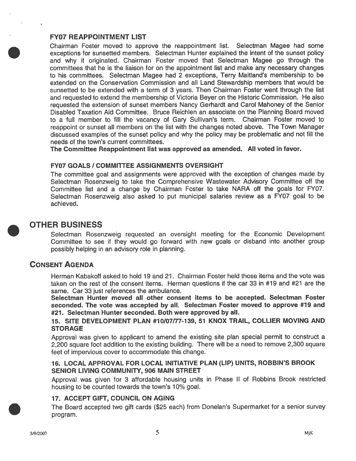#### FY07 REAPPOINTMENT LIST

Chairman Foster moved to approve the reappointment list. Selectman Magee had some exceptions for sunsetted members. Selectman Hunter explained the intent of the sunset policy and why it originated. Chairman Foster moved that Selectman Magee go through the committees that he is the liaison for on the appointment list and make any necessary changes to his committees. Selectman Magee had 2 exceptions, Terry Maitland's membership to be extended on the Conservation Commission and all Land Stewardship members that would be sunsetted to be extended with <sup>a</sup> term of 3 years. Then Chairman Foster went through the list and requested to extend the membership of Victoria Beyer on the Historic Commission. He also requested the extension of sunset members Nancy Gerhardt and Carol Mahoney of the Senior Disabled Taxation Aid Committee. Bruce Reichlen an associate on the Planning Board moved to <sup>a</sup> full member to fill the vacancy of Gary Sullivan's term. Chairman Foster moved to reappoint or sunset all members on the list with the changes noted above. The Town Manager discussed examples of the sunset policy and why the policy may be problematic and not fill the needs of the town's current committees.

The Committee Reappointment list was approved as amended. All voted in favor.

#### **FY07 GOALS / COMMITTEE ASSIGNMENTS OVERSIGHT**

The committee goal and assignments were approved with the exception of changes made by Selectman Rosenzweig to take the Comprehensive Wastewater Advisory Committee off the Committee list and <sup>a</sup> change by Chairman Foster to take NARA off the goals for FY07. Selectman Rosenzweig also asked to pu<sup>t</sup> municipal salaries review as <sup>a</sup> FY07 goal to be achieved.

# OTHER BUSINESS

Selectman Rosenzweig requested an oversight meeting for the Economic Development Committee to see if they would go forward with new goals or disband into another group possibly helping in an advisory role in planning.

## CONSENT AGENDA

Herman Kabakoff asked to hold 19 and 21. Chairman Foster held those items and the vote was taken on the rest of the consent items. Herman questions if the car 33 in #19 and #21 are the same. Car 33 just references the ambulance.

Selectman Hunter moved all other consent items to be accepted. Selectman Foster seconded. The vote was accepted by all. Selectman Foster moved to approve #19 and #21. Selectman Hunter seconded. Both were approved by all.

15. SITE DEVELOPMENT PLAN #10/07/77-139, 51 KNOX TRAIL, COLLIER MOVING AND **STORAGE** 

Approval was given to applicant to amend the existing site plan special permit to construct <sup>a</sup> 2,200 square foot addition to the existing building. There will be <sup>a</sup> need to remove 2,300 square feet of impervious cover to accommodate this change.

#### 76. LOCAL APPROVAL FOR LOCAL INITIATIVE PLAN (LIP) UNITS, ROBBIN'S BROOK SENIOR LIVING COMMUNITY, 906 MAIN STREET

Approval was <sup>g</sup>iven for 3 affordable housing units in Phase II of Robbins Brook restricted housing to be counted towards the town's 10% goal.

#### 17. ACCEPT GIFT, COUNCIL ON AGING

The Board accepted two <sup>g</sup>ift cards (\$25 each) from Donelan's Supermarket for <sup>a</sup> senior survey program.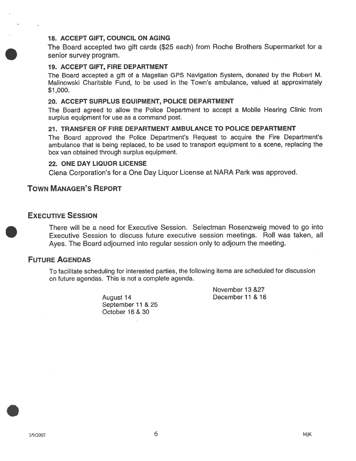#### 18. ACCEPT GIFT, COUNCIL ON AGING

The Board accepted two <sup>g</sup>ift cards (\$25 each) from Roche Brothers Supermarket for <sup>a</sup> senior survey program.

#### 19. ACCEPT GIFr, FIRE DEPARTMENT

The Board accepted <sup>a</sup> <sup>g</sup>ift of <sup>a</sup> Magellan GPS Navigation System, donated by the Robert M. Malinowski Charitable Fund, to be used in the Town's ambulance, valued at approximately \$1,000.

#### 20. ACCEPT SURPLUS EQUIPMENT, POLICE DEPARTMENT

The Board agreed to allow the Police Department to accep<sup>t</sup> <sup>a</sup> Mobile Hearing Clinic from surplus equipment for use as <sup>a</sup> command post.

#### 21. TRANSFER OF FIRE DEPARTMENT AMBULANCE TO POLICE DEPARTMENT

The Board approved the Police Department's Request to acquire the Fire Department's ambulance that is being replaced, to be used to transport equipment to <sup>a</sup> scene, replacing the box van obtained through surplus equipment.

#### 22. ONE DAY LIQUOR LICENSE

Ciena Corporation's for <sup>a</sup> One Day Liquor License at NARA Park was approved.

### TOWN MANAGER'S REPORT

#### EXECUTIVE SESSION

There will be <sup>a</sup> need for Executive Session. Selectman Rosenzweig moved to go into Executive Session to discuss future executive session meetings. Roll was taken, all Ayes. The Board adjourned into regular session only to adjourn the meeting.

## FUTURE AGENDAS

To facilitate scheduling for interested parties, the following items are scheduled for discussion on future agendas. This is not <sup>a</sup> complete agenda.

> September 11 & 25 October 16 & 30

November 13 &27 August 14 December 11 & 18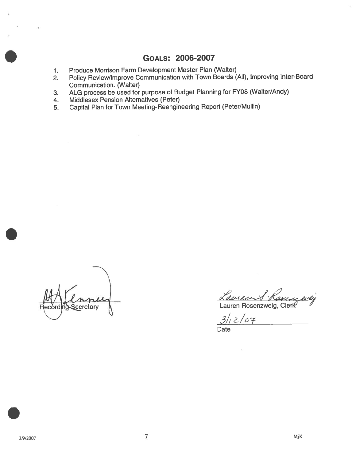# GOALS: 2006-2007

- 1. Produce Morrison Farm Development Master Plan (Walter)
- 2. Policy Review/Improve Communication with Town Boards (All), Improving Inter-Board Communication. (Walter)
- 3. ALG process be used for purpose of Budget Planning for FY08 (Walter/Andy)
- 4. Middlesex Pension Alternatives (Peter)
- 5. Capital Plan for Town Meeting-Reengineering Report (Peter/Mullin)

Secretary

Lauren Rosenzweig, Clerk

 $3/12/07$ 

Date

 $\mathcal{D}$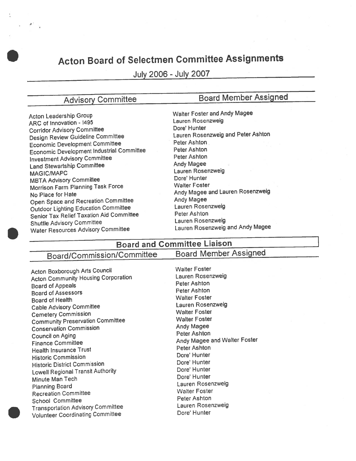# Acton Board of Selectmen Committee Assignments

July 2006 -July 2007

.1

# Advisory Committee Board Member Assigned

Acton Leadership Group<br>And Catherine Magnetics Magnetics Magnetics Catherine Magnetics Magnetics Magnetics Magnetics Magnetics Magnet<br>Lauren Rosenzweig ARC of Innovation - 1495<br>
Cosmidae Advisory Committee **Lauren Rosenzy Committee** Dore' Hunter Corridor Advisory Committee **Dore Hunter** Dore' Hunter<br>Dorign Review Guideline Committee Lauren Rosenzweig and Peter Ashton Design Review Guideline Committee Lauren Rosenzug and Peter Ashton<br>
Recognis Development Committee Ashton Economic Development Committee **Peter Ashton**<br> **Economic Development Industrial Committee** Peter Ashton Economic Development Industrial Committee Peter Ashton<br>Investment Advisory Committee Peter Ashton Investment Advisory Committee Peter Ashton Land Stewartship Committee Lauren Rosenzweig<br>MAGIC/MAPC Lauren Rosenzweig<br>MRTA Advisory Committee MBTA Advisory Committee Dore' Hunter Morrison Farm Planning Task Force Mo Place for Hate<br>
No Place for Hate<br>
Chan Spece and Pectestion Committee<br>
Andy Magee Open Space and Recreation Committee **Andy Magee**<br>
Outdoor Lighting Education Committee **Andy Lauren Rosenzweig** Outdoor Lighting Education Committee Lauren Rosenzour Lauren Rosenzum Rosenzum Lauren Rosenzum Lauren Rosenzum<br>Constant Tax Rollef Taxation Aid Committee Peter Ashton Senior Tax Relief Taxation Aid Committee Peter Ashton<br>
Committee Lauren Rosenzweig Shuttle Advisory Committee Lauren Rosenzweig<br>Mater Resources Advisory Committee Lauren Rosenzweig and Andy Magee Water Resources Advisory Committee

# Board and Committee Liaison

# Board/Commission/Committee Board Member Assigned

Acton Boxborough Arts Council<br>Actor Community Housing Corporation Material Lauren Rosenzweig Acton Community Housing Corporation Lauren Roser<br>
Recal of Annople Board of Appeals Peter Ashton<br>
Peter Ashton<br>
Peter Ashton Board of Assessors **Peter Ashion**<br> **Peter Ashion**<br> **Peace of Hoolth Poster** Board of Health<br>Cable Advisory Committee **South Access 1996** Lauren Rosenzweig Cable Advisory Committee Lauren Rosenzus Lauren Rosenzus Lauren Rosenzus Lauren Rosenzus Lauren Rosenzus Lauren Rosenzus Lauren Rosenzus Lauren Rosenzus Lauren Rosenzus Lauren Rosenzus Lauren Rosenzus Lauren Rosenzus Laure Cemetery Commission Walter Foster Community Preservation Committee **Walter Foste**<br>
Conservation Commission<br>
Conservation Commission Conservation Commission **Andy Magee**<br>
Council on Aging Council on Aging Finance Committee **Andy Magee and Walter Foster**<br>
Health Incurance Trust<br>
Health Incurance Trust Health Insurance Trust **Peter Ashton**<br>
Health Insurance Trust **Peter Ashton**<br>
Dore' Hunter Historic Commission Dore Hunter Historic District Commission Dote' Hunter Lowell Regional Transit Authority **Dote' Hunter**<br>Minute Man Toch Minute Man Tech Planning Board<br>Descention Committee Laurence and Laurence Walter Foster Recreation Committee **No. 1998** Walter Foster<br>
Recreation Committee Walter Foster Ashton School Committee **Peter Ashton**<br>Transportation Advisory Committee **Property Lauren Rosenzweig Transportation Advisory Committee** Volunteer Coordinating Committee

Lauren Rosenzweig Dore' Hunter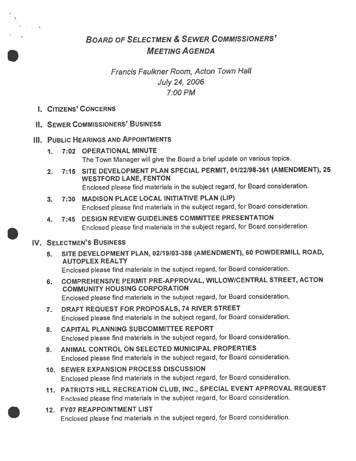# BOARD OF SELECTMEN & SEWER COMMISSIONERS' MEETING AGENDA

# Francis Faulkner Room, Acton Town Hall July 24, 2006 7:00 PM

I. CITIZENS' CONCERNS

### IL SEWER CoMMIssIoNERs' BUSINESS

### III. PUBLIC HEARINGS AND APPOINTMENTS

- 1. 7:02 OPERATIONAL MINUTE The Town Manager will <sup>g</sup>ive the Board <sup>a</sup> brief update on various topics.
- 2. 7:15 SITE DEVELOPMENT PLAN SPECIAL PERMIT, 01122198-361 (AMENDMENT), <sup>25</sup> WESTFORD LANE, FENTON Enclosed <sup>p</sup>lease find materials in the subject regard, for Board consideration.
- 3. 7:30 MADISON PLACE LOCAL INITIATIVE PLAN (LIP) Enclosed <sup>p</sup>lease find materials in the subject regard, for Board consideration.
- 4. 7:45 DESIGN REVIEW GUIDELINES COMMITTEE PRESENTATION Enclosed <sup>p</sup>lease find materials in the subject regard, for Board consideration.

## IV. SELECTMEN'S BUSINESS

5. SITE DEVELOPMENT PLAN, 02/19103-388 (AMENDMENT), <sup>60</sup> POWDERMILL ROAD, AUTOPLEX REALTY

Enclosed <sup>p</sup>lease find materials in the subject regard, for Board consideration.

- 6. COMPREHENSIVE PERMIT PRE-APPROVAL, WILLOW/CENTRAL STREET, ACTON COMMUNITY HOUSING CORPORATION Enclosed <sup>p</sup>lease find materials in the subject regard, for Board consideration.
- 7. DRAFT REQUEST FOR PROPOSALS, <sup>74</sup> RIVER STREET Enclosed <sup>p</sup>lease find materials in the subject regard, for Board consideration.
- 8. CAPITAL PLANNING SUBCOMMITTEE REPORT Enclosed <sup>p</sup>lease find materials in the subject regard, for Board consideration.
- 9. ANIMAL CONTROL ON SELECTED MUNICIPAL PROPERTIES Enclosed <sup>p</sup>lease find materials in the subject regard, for Board consideration.
- 10. SEWER EXPANSION PROCESS DISCUSSION Enclosed <sup>p</sup>lease find materials in the subject regard, for Board consideration.
- 11. PATRIOTS HILL RECREATION CLUB, INC., SPECIAL EVENT APPROVAL REQUEST Enclosed <sup>p</sup>lease find materials in the subject regard, for Board consideration.
- 12. FY07 REAPPOINTMENT LIST Enclosed <sup>p</sup>lease find materials in the subject regard, for Board consideration.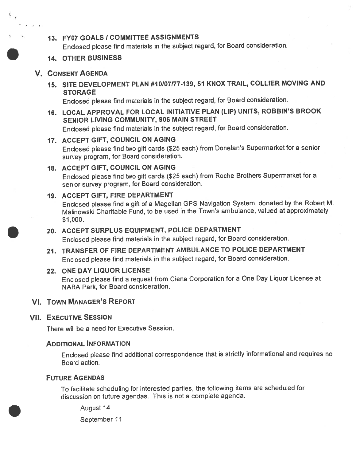### 13. FY07 GOALS I COMMITTEE ASSIGNMENTS

Enclosed <sup>p</sup>lease find materials in the subject regard, for Board consideration.

#### 14. OTHER BUSINESS

#### V. CONSENT AGENDA

船

15. SITE DEVELOPMENT PLAN #10107177-139, 51 KNOX TRAIL, COLLIER MOVING AND STORAGE

Enclosed <sup>p</sup>lease find materials in the subject regard, for Board consideration.

# 16. LOCAL APPROVAL FOR LOCAL INITIATIVE PLAN (LIP) UNITS, ROBBIN'S BROOK SENIOR LIVING COMMUNITY, 906 MAIN STREET

Enclosed <sup>p</sup>lease find materials in the subject regard, for Board consideration.

#### 17. ACCEPT GIFT, COUNCIL ON AGING

Enclosed <sup>p</sup>lease find two <sup>g</sup>ift cards (\$25 each) from Donelan's Supermarket for <sup>a</sup> senior survey program, for Board consideration.

#### 18. ACCEPT GIFT, COUNCIL ON AGiNG

Enclosed <sup>p</sup>lease find two <sup>g</sup>ift cards (\$25 each) from Roche Brothers Supermarket for <sup>a</sup> senior survey program, for Board consideration.

#### 19. ACCEPT GIFT, FIRE DEPARTMENT

Enclosed <sup>p</sup>lease find <sup>a</sup> <sup>g</sup>ift of <sup>a</sup> Magellan GPS Navigation System, donated by the Robert M. Malinowski Charitable Fund, to be used in the Town's ambulance, valued at approximately \$1,000.

#### 20. ACCEPT SURPLUS EQUIPMENT, POLICE DEPARTMENT

Enclosed <sup>p</sup>lease find materials in the subject regard, for Board consideration.

21. TRANSFER OF FIRE DEPARTMENT AMBULANCE TO POLICE DEPARTMENT Enclosed <sup>p</sup>lease find materials in the subject regard, for Board consideration.

#### 22. ONE DAY LIQUOR LICENSE

Enclosed <sup>p</sup>lease find <sup>a</sup> reques<sup>t</sup> from Ciena Corporation for <sup>a</sup> One Day Liquor License at NARA Park, for Board consideration.

#### VI. TOWN MANAGER'S REPORT

#### **VII. EXECUTIVE SESSION**

There will be <sup>a</sup> need for Executive Session.

## ADDITIONAL INFORMATION

Enclosed <sup>p</sup>lease find additional correspondence that is strictly informational and requires no Board action.

#### FUTURE AGENDAS

To facilitate scheduling for interested parties, the following items are scheduled for discussion on future agendas. This is not <sup>a</sup> complete agenda.

August 14

September 11